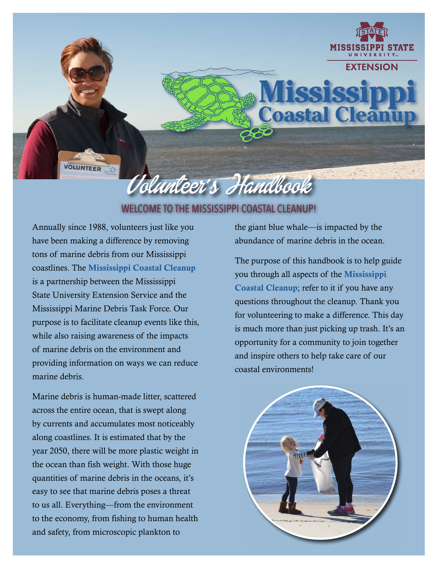

# WELCOME TO THE MISSISSIPPI COASTAL CLEANUP!

Annually since 1988, volunteers just like you have been making a difference by removing tons of marine debris from our Mississippi coastlines. The Mississippi Coastal Cleanup is a partnership between the Mississippi State University Extension Service and the Mississippi Marine Debris Task Force. Our purpose is to facilitate cleanup events like this, while also raising awareness of the impacts of marine debris on the environment and providing information on ways we can reduce marine debris.

Marine debris is human-made litter, scattered across the entire ocean, that is swept along by currents and accumulates most noticeably along coastlines. It is estimated that by the year 2050, there will be more plastic weight in the ocean than fish weight. With those huge quantities of marine debris in the oceans, it's easy to see that marine debris poses a threat to us all. Everything—from the environment to the economy, from fishing to human health and safety, from microscopic plankton to

the giant blue whale—is impacted by the abundance of marine debris in the ocean.

The purpose of this handbook is to help guide you through all aspects of the Mississippi Coastal Cleanup; refer to it if you have any questions throughout the cleanup. Thank you for volunteering to make a difference. This day is much more than just picking up trash. It's an opportunity for a community to join together and inspire others to help take care of our coastal environments!

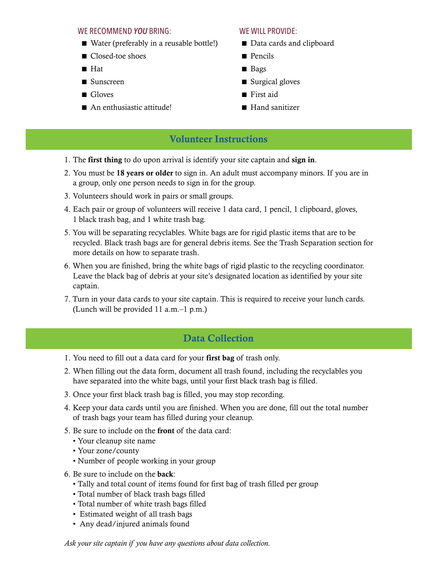## WE RECOMMEND *YOU* BRING: WE WILL PROVIDE:

- $\blacksquare$  Water (preferably in a reusable bottle!)
- Closed-toe shoes
- $H$ at
- n Sunscreen
- Gloves
- An enthusiastic attitude!

- Data cards and clipboard
- **n** Pencils
- Bags
- $\blacksquare$  Surgical gloves
- $\blacksquare$  First aid
- $\blacksquare$  Hand sanitizer

# Volunteer Instructions

- 1. The first thing to do upon arrival is identify your site captain and sign in.
- 2. You must be 18 years or older to sign in. An adult must accompany minors. If you are in a group, only one person needs to sign in for the group.
- 3. Volunteers should work in pairs or small groups.
- 4. Each pair or group of volunteers will receive 1 data card, 1 pencil, 1 clipboard, gloves, 1 black trash bag, and 1 white trash bag.
- 5. You will be separating recyclables. White bags are for rigid plastic items that are to be recycled. Black trash bags are for general debris items. See the Trash Separation section for more details on how to separate trash.
- 6. When you are finished, bring the white bags of rigid plastic to the recycling coordinator. Leave the black bag of debris at your site's designated location as identified by your site captain.
- 7. Turn in your data cards to your site captain. This is required to receive your lunch cards. (Lunch will be provided 11 a.m.–1 p.m.)

# Data Collection

- 1. You need to fill out a data card for your first bag of trash only.
- 2. When filling out the data form, document all trash found, including the recyclables you have separated into the white bags, until your first black trash bag is filled.
- 3. Once your first black trash bag is filled, you may stop recording.
- 4. Keep your data cards until you are finished. When you are done, fill out the total number of trash bags your team has filled during your cleanup.
- 5. Be sure to include on the front of the data card:
	- Your cleanup site name
	- Your zone/county
	- Number of people working in your group
- 6. Be sure to include on the back:
	- Tally and total count of items found for first bag of trash filled per group
	- Total number of black trash bags filled
	- Total number of white trash bags filled
	- Estimated weight of all trash bags
	- Any dead/injured animals found

### *Ask your site captain if you have any questions about data collection.*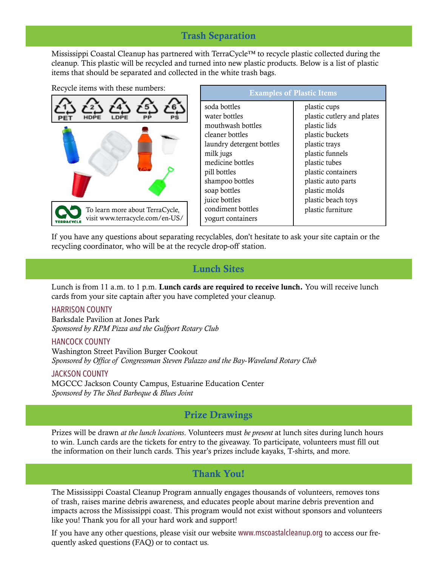## Trash Separation

Mississippi Coastal Cleanup has partnered with TerraCycle™ to recycle plastic collected during the cleanup. This plastic will be recycled and turned into new plastic products. Below is a list of plastic items that should be separated and collected in the white trash bags.

| Recycle items with these numbers:                                  |  |  |  |  |
|--------------------------------------------------------------------|--|--|--|--|
|                                                                    |  |  |  |  |
|                                                                    |  |  |  |  |
| To learn more about TerraCycle,<br>visit www.terracycle.com/en-US/ |  |  |  |  |

| <b>Examples of Plastic Items</b>                                                                                                                                                                                                                  |                                                                                                                                                                                                                                            |  |  |  |
|---------------------------------------------------------------------------------------------------------------------------------------------------------------------------------------------------------------------------------------------------|--------------------------------------------------------------------------------------------------------------------------------------------------------------------------------------------------------------------------------------------|--|--|--|
| soda bottles<br>water bottles<br>mouthwash bottles<br>cleaner bottles<br>laundry detergent bottles<br>milk jugs<br>medicine bottles<br>pill bottles<br>shampoo bottles<br>soap bottles<br>juice bottles<br>condiment bottles<br>yogurt containers | plastic cups<br>plastic cutlery and plates<br>plastic lids<br>plastic buckets<br>plastic trays<br>plastic funnels<br>plastic tubes<br>plastic containers<br>plastic auto parts<br>plastic molds<br>plastic beach toys<br>plastic furniture |  |  |  |
|                                                                                                                                                                                                                                                   |                                                                                                                                                                                                                                            |  |  |  |

If you have any questions about separating recyclables, don't hesitate to ask your site captain or the recycling coordinator, who will be at the recycle drop-off station.

## Lunch Sites

Lunch is from 11 a.m. to 1 p.m. **Lunch cards are required to receive lunch.** You will receive lunch cards from your site captain after you have completed your cleanup.

### HARRISON COUNTY

Barksdale Pavilion at Jones Park *Sponsored by RPM Pizza and the Gulfport Rotary Club* 

### HANCOCK COUNTY

Washington Street Pavilion Burger Cookout *Sponsored by Office of Congressman Steven Palazzo and the Bay-Waveland Rotary Club*

### JACKSON COUNTY

MGCCC Jackson County Campus, Estuarine Education Center *Sponsored by The Shed Barbeque & Blues Joint*

## Prize Drawings

Prizes will be drawn *at the lunch locations*. Volunteers must *be present* at lunch sites during lunch hours to win. Lunch cards are the tickets for entry to the giveaway. To participate, volunteers must fill out the information on their lunch cards. This year's prizes include kayaks, T-shirts, and more.

## Thank You!

The Mississippi Coastal Cleanup Program annually engages thousands of volunteers, removes tons of trash, raises marine debris awareness, and educates people about marine debris prevention and impacts across the Mississippi coast. This program would not exist without sponsors and volunteers like you! Thank you for all your hard work and support!

If you have any other questions, please visit our website www.mscoastalcleanup.org to access our frequently asked questions (FAQ) or to contact us.